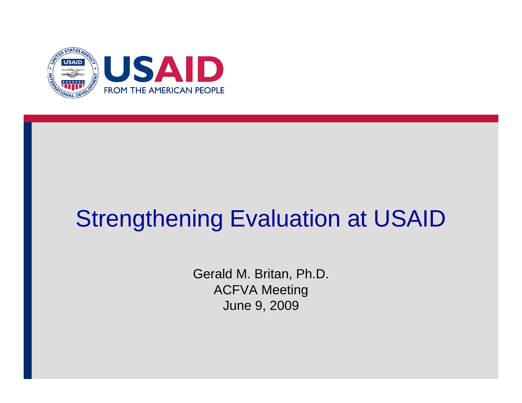

# Strengthening Evaluation at USAID

Gerald M. Britan, Ph.D. ACFVA Meeting June 9, 2009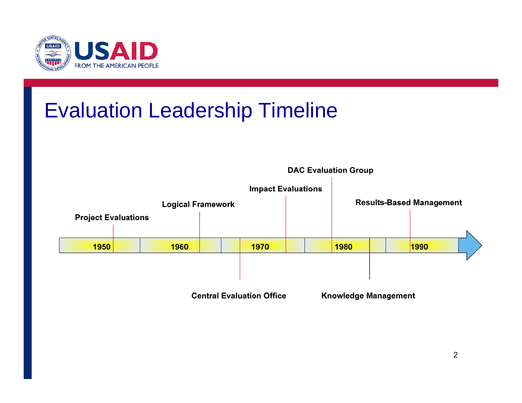

### Evaluation Leadership Timeline

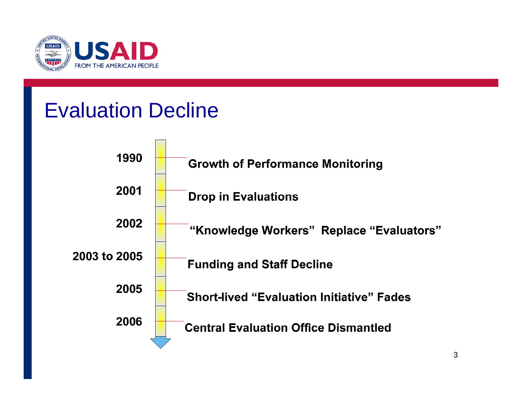

#### Evaluation Decline

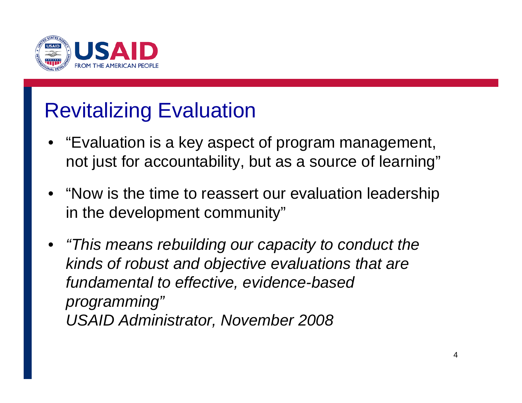

### Revitalizing Evaluation

- "Evaluation is a key aspect of program management, not just for accountability, but as a source of learning"
- "Now is the time to reassert our evaluation leadership in the development community"
- *"This means rebuilding our capacity to conduct the kinds of robust and objective evaluations that are fundamental to effective, evidence-based programming" USAID Administrator, November 2008*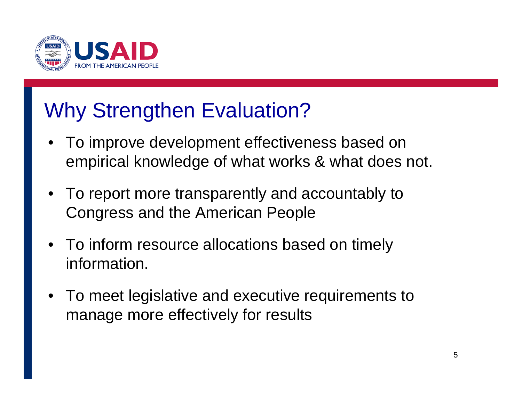

### Why Strengthen Evaluation?

- To improve development effectiveness based on empirical knowledge of what works & what does not.
- To report more transparently and accountably to Congress and the American People
- To inform resource allocations based on timely information.
- • To meet legislative and executive requirements to manage more effectively for results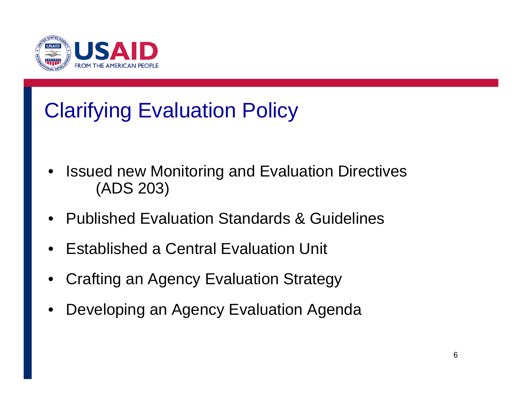

## Clarifying Evaluation Policy

- • Issued new Monitoring and Evaluation Directives (ADS 203)
- •Published Evaluation Standards & Guidelines
- •Established a Central Evaluation Unit
- •Crafting an Agency Evaluation Strategy
- •Developing an Agency Evaluation Agenda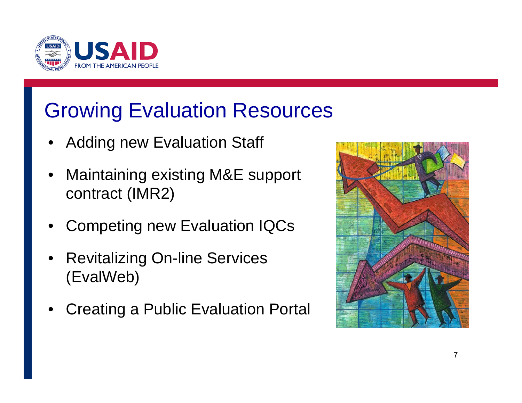

### Growing Evaluation Resources

- •Adding new Evaluation Staff
- • Maintaining existing M&E support contract (IMR2)
- •Competing new Evaluation IQCs
- • Revitalizing On-line Services (EvalWeb)
- •Creating a Public Evaluation Portal

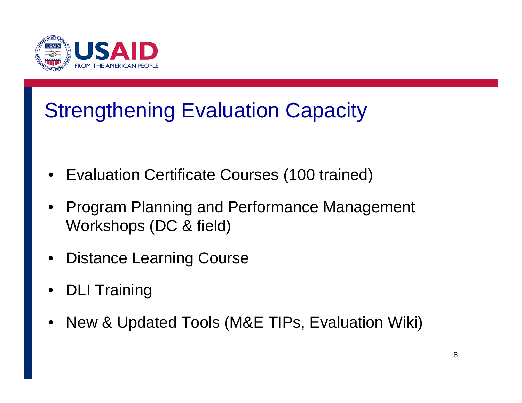

### Strengthening Evaluation Capacity

- Evaluation Certificate Courses (100 trained)
- • Program Planning and Performance Management Workshops (DC & field)
- •Distance Learning Course
- •DLI Training
- •New & Updated Tools (M&E TIPs, Evaluation Wiki)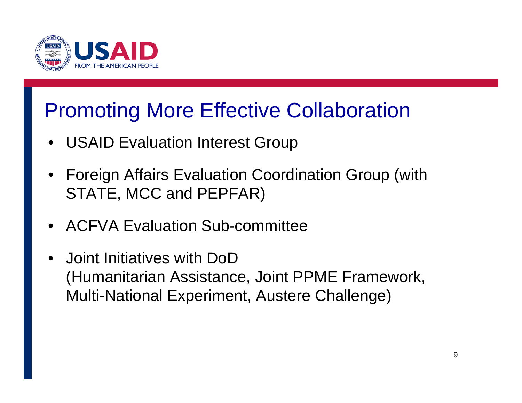

#### Promoting More Effective Collaboration

- USAID Evaluation Interest Group
- Foreign Affairs Evaluation Coordination Group (with STATE, MCC and PEPFAR)
- ACFVA Evaluation Sub-committee
- • Joint Initiatives with DoD(Humanitarian Assistance, Joint PPME Framework, Multi-National Experiment, Austere Challenge)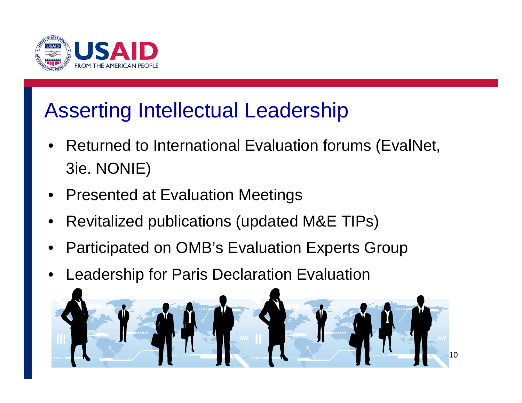

#### Asserting Intellectual Leadership

- • Returned to International Evaluation forums (EvalNet, 3ie. NONIE)
- •Presented at Evaluation Meetings
- •Revitalized publications (updated M&E TIPs)
- •Participated on OMB's Evaluation Experts Group
- •Leadership for Paris Declaration Evaluation

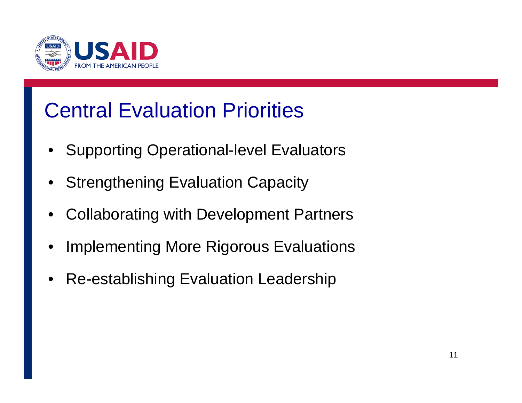

### Central Evaluation Priorities

- •Supporting Operational-level Evaluators
- Strengthening Evaluation Capacity
- •Collaborating with Development Partners
- •Implementing More Rigorous Evaluations
- •Re-establishing Evaluation Leadership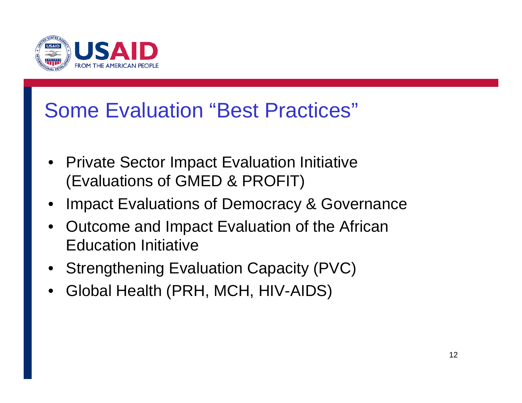

#### Some Evaluation "Best Practices"

- Private Sector Impact Evaluation Initiative (Evaluations of GMED & PROFIT)
- •Impact Evaluations of Democracy & Governance
- Outcome and Impact Evaluation of the African Education Initiative
- Strengthening Evaluation Capacity (PVC)
- •Global Health (PRH, MCH, HIV-AIDS)